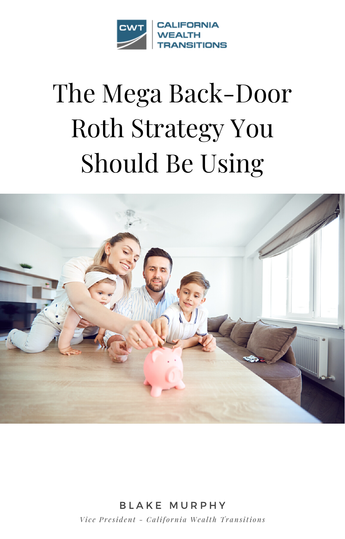

# The Mega Back-Door **Roth Strategy You Should Be Using**



**BLAKE MURPHY** Vice President - California Wealth Transitions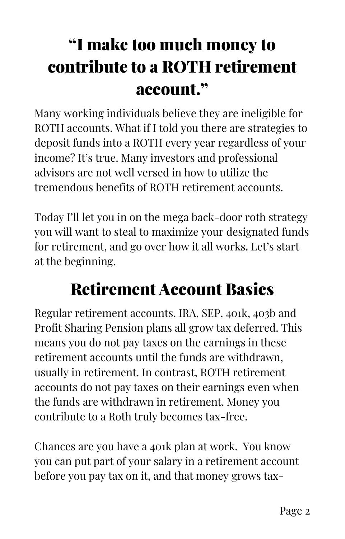## "I make too much money to contribute to a ROTH retirement account."

Many working individuals believe they are ineligible for ROTH accounts. What if I told you there are strategies to deposit funds into a ROTH every year regardless of your income? It's true. Many investors and professional advisors are not well versed in how to utilize the tremendous benefits of ROTH retirement accounts.

Today I'll let you in on the mega back-door roth strategy you will want to steal to maximize your designated funds for retirement, and go over how it all works. Let's start at the beginning.

#### Retirement Account Basics

Regular retirement accounts, IRA, SEP, 401k, 403b and Profit Sharing Pension plans all grow tax deferred. This means you do not pay taxes on the earnings in these retirement accounts until the funds are withdrawn, usually in retirement. In contrast, ROTH retirement accounts do not pay taxes on their earnings even when the funds are withdrawn in retirement. Money you contribute to a Roth truly becomes tax-free.

Chances are you have a 401k plan at work. You know you can put part of your salary in a retirement account before you pay tax on it, and that money grows tax-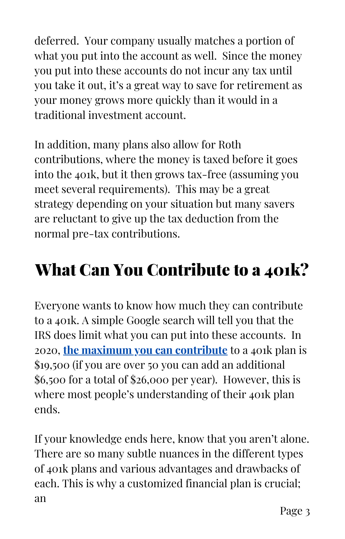deferred. Your company usually matches a portion of what you put into the account as well. Since the money you put into these accounts do not incur any tax until you take it out, it's a great way to save for retirement as your money grows more quickly than it would in a traditional investment account.

In addition, many plans also allow for Roth contributions, where the money is taxed before it goes into the 401k, but it then grows tax-free (assuming you meet several requirements). This may be a great strategy depending on your situation but many savers are reluctant to give up the tax deduction from the normal pre-tax contributions.

### What Can You Contribute to a 401k?

Everyone wants to know how much they can contribute to a 401k. A simple Google search will tell you that the IRS does limit what you can put into these accounts. In 2020, **the maximum you can [contribute](https://www.irs.gov/newsroom/401k-contribution-limit-increases-to-19500-for-2020-catch-up-limit-rises-to-6500)** to a 401k plan is \$19,500 (if you are over 50 you can add an additional \$6,500 for a total of \$26,000 per year). However, this is where most people's understanding of their 401k plan ends.

If your knowledge ends here, know that you aren't alone. There are so many subtle nuances in the different types of 401k plans and various advantages and drawbacks of each. This is why a customized financial plan is crucial; an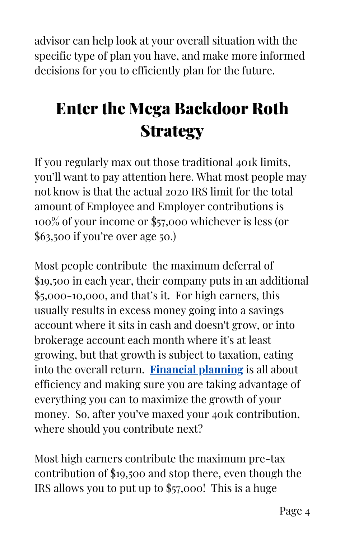advisor can help look at your overall situation with the specific type of plan you have, and make more informed decisions for you to efficiently plan for the future.

## Enter the Mega Backdoor Roth **Strategy**

If you regularly max out those traditional 401k limits, you'll want to pay attention here. What most people may not know is that the actual 2020 IRS limit for the total amount of Employee and Employer contributions is 100% of your income or \$57,000 whichever is less (or \$63,500 if you're over age 50.)

Most people contribute the maximum deferral of \$19,500 in each year, their company puts in an additional \$5,000-10,000, and that's it. For high earners, this usually results in excess money going into a savings account where it sits in cash and doesn't grow, or into brokerage account each month where it's at least growing, but that growth is subject to taxation, eating into the overall return. **[Financial](https://www.cawealth.com/talk-to-an-advisor.html) planning** is all about efficiency and making sure you are taking advantage of everything you can to maximize the growth of your money. So, after you've maxed your 401k contribution, where should you contribute next?

Most high earners contribute the maximum pre-tax contribution of \$19,500 and stop there, even though the IRS allows you to put up to \$57,000! This is a huge